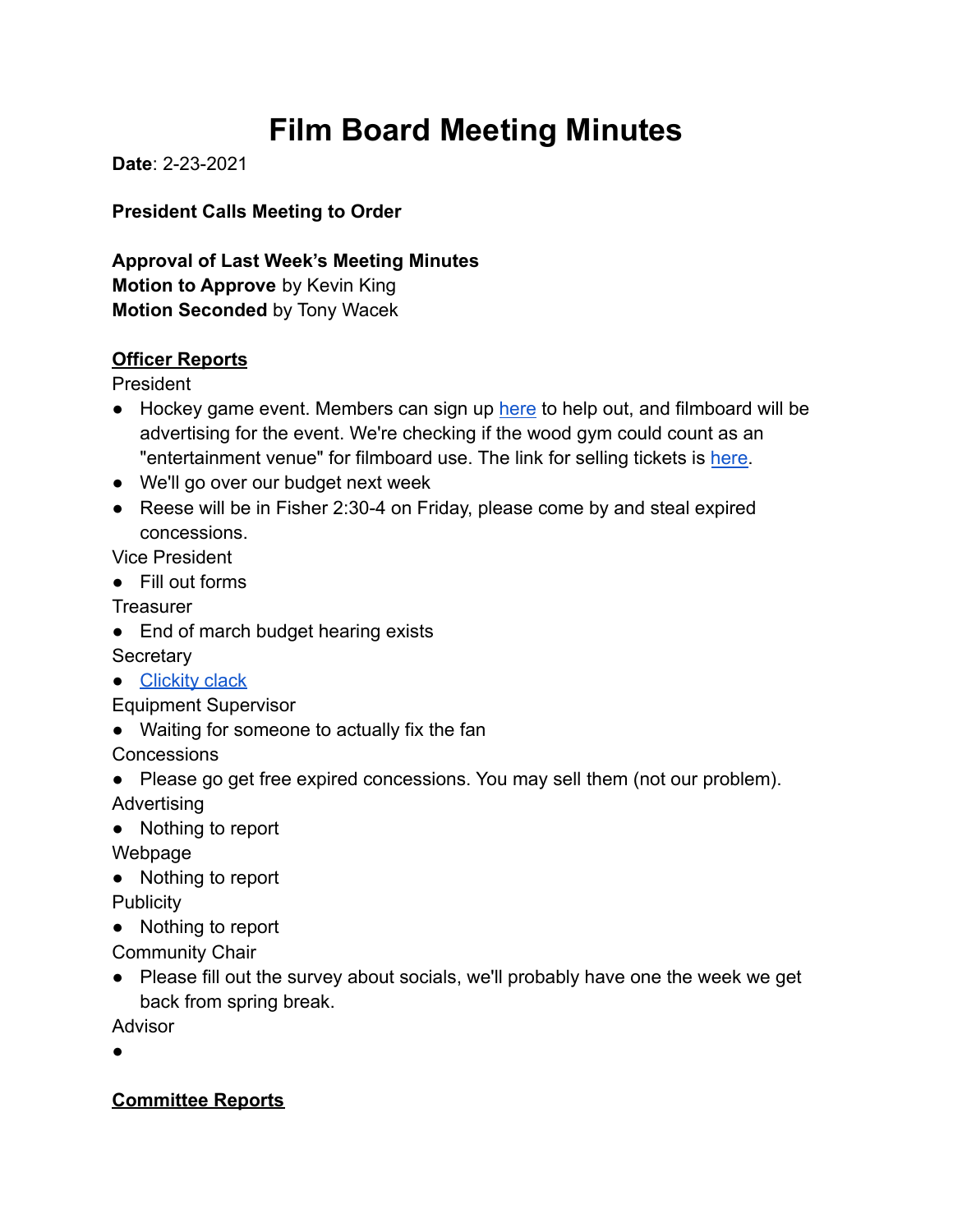# **Film Board Meeting Minutes**

**Date**: 2-23-2021

**President Calls Meeting to Order**

**Approval of Last Week's Meeting Minutes Motion to Approve** by Kevin King **Motion Seconded** by Tony Wacek

#### **Officer Reports**

President

- Hockey game event. Members can sign up [here](https://docs.google.com/spreadsheets/d/1FtZKpRwlIJP-VkTf04jBJFPScE2f5KR7YpafV1jzcvE/edit?ts=60300c24#gid=0) to help out, and filmboard will be advertising for the event. We're checking if the wood gym could count as an "entertainment venue" for filmboard use. The link for selling tickets is [here.](https://docs.google.com/forms/d/e/1FAIpQLSfnIM2giO77h2qk0UIZ67YiNQwvNvJTncthTwJRI257II3nOg/viewform)
- We'll go over our budget next week
- Reese will be in Fisher 2:30-4 on Friday, please come by and steal expired concessions.

Vice President

● Fill out forms

**Treasurer** 

• End of march budget hearing exists

**Secretary** 

● [Clickity clack](https://www.dinneratthezoo.com/oreo-brownies/#wprm-recipe-container-20731)

Equipment Supervisor

● Waiting for someone to actually fix the fan

**Concessions** 

- Please go get free expired concessions. You may sell them (not our problem). Advertising
- Nothing to report

Webpage

● Nothing to report

**Publicity** 

● Nothing to report

Community Chair

● Please fill out the survey about socials, we'll probably have one the week we get back from spring break.

Advisor

●

### **Committee Reports**